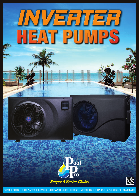